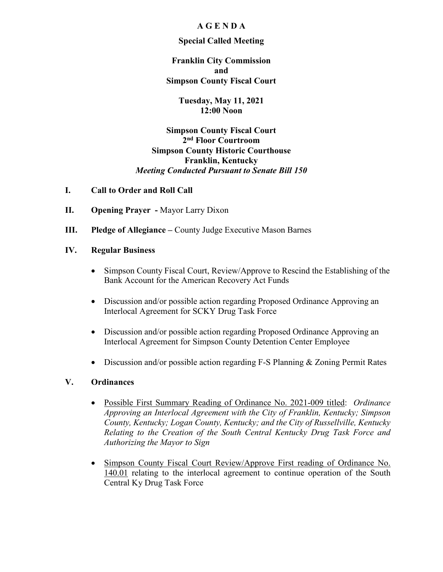# **A G E N D A**

### **Special Called Meeting**

**Franklin City Commission and Simpson County Fiscal Court**

> **Tuesday, May 11, 2021 12:00 Noon**

**Simpson County Fiscal Court 2nd Floor Courtroom Simpson County Historic Courthouse Franklin, Kentucky** *Meeting Conducted Pursuant to Senate Bill 150*

### **I. Call to Order and Roll Call**

- **II. Opening Prayer -** Mayor Larry Dixon
- **III. Pledge of Allegiance –** County Judge Executive Mason Barnes

# **IV. Regular Business**

- Simpson County Fiscal Court, Review/Approve to Rescind the Establishing of the Bank Account for the American Recovery Act Funds
- Discussion and/or possible action regarding Proposed Ordinance Approving an Interlocal Agreement for SCKY Drug Task Force
- Discussion and/or possible action regarding Proposed Ordinance Approving an Interlocal Agreement for Simpson County Detention Center Employee
- Discussion and/or possible action regarding F-S Planning & Zoning Permit Rates

### **V. Ordinances**

- Possible First Summary Reading of Ordinance No. 2021-009 titled: *Ordinance Approving an Interlocal Agreement with the City of Franklin, Kentucky; Simpson County, Kentucky; Logan County, Kentucky; and the City of Russellville, Kentucky Relating to the Creation of the South Central Kentucky Drug Task Force and Authorizing the Mayor to Sign*
- Simpson County Fiscal Court Review/Approve First reading of Ordinance No. 140.01 relating to the interlocal agreement to continue operation of the South Central Ky Drug Task Force